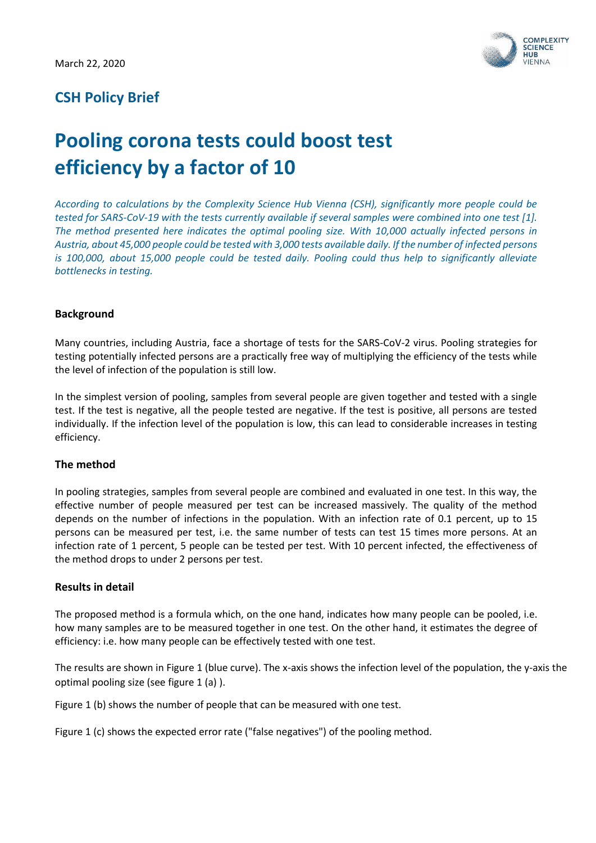

# **CSH Policy Brief**

# **Pooling corona tests could boost test efficiency by a factor of 10**

*According to calculations by the Complexity Science Hub Vienna (CSH), significantly more people could be tested for SARS-CoV-19 with the tests currently available if several samples were combined into one test [1]. The method presented here indicates the optimal pooling size. With 10,000 actually infected persons in Austria, about 45,000 people could be tested with 3,000 tests available daily. If the number of infected persons is 100,000, about 15,000 people could be tested daily. Pooling could thus help to significantly alleviate bottlenecks in testing.* 

## **Background**

Many countries, including Austria, face a shortage of tests for the SARS-CoV-2 virus. Pooling strategies for testing potentially infected persons are a practically free way of multiplying the efficiency of the tests while the level of infection of the population is still low.

In the simplest version of pooling, samples from several people are given together and tested with a single test. If the test is negative, all the people tested are negative. If the test is positive, all persons are tested individually. If the infection level of the population is low, this can lead to considerable increases in testing efficiency.

#### **The method**

In pooling strategies, samples from several people are combined and evaluated in one test. In this way, the effective number of people measured per test can be increased massively. The quality of the method depends on the number of infections in the population. With an infection rate of 0.1 percent, up to 15 persons can be measured per test, i.e. the same number of tests can test 15 times more persons. At an infection rate of 1 percent, 5 people can be tested per test. With 10 percent infected, the effectiveness of the method drops to under 2 persons per test.

#### **Results in detail**

The proposed method is a formula which, on the one hand, indicates how many people can be pooled, i.e. how many samples are to be measured together in one test. On the other hand, it estimates the degree of efficiency: i.e. how many people can be effectively tested with one test.

The results are shown in Figure 1 (blue curve). The x-axis shows the infection level of the population, the y-axis the optimal pooling size (see figure 1 (a) ).

Figure 1 (b) shows the number of people that can be measured with one test.

Figure 1 (c) shows the expected error rate ("false negatives") of the pooling method.